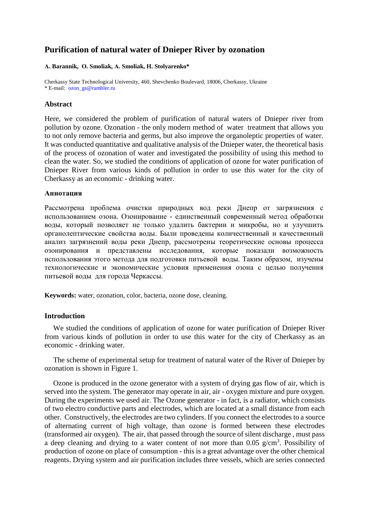# **Purification of natural water of Dnieper River by ozonation**

#### **А. Barannik, О. Smoliak, А. Smoliak, H. Stolyarenko\***

Cherkassy State Technological University, 460, Shevchenko Boulevard, 18006, Cherkassy, Ukraine \* E-mail: [ozon\\_gs@rambler.ru](mailto:ozon_gs@rambler.ru)

### **Abstract**

Here, we considered the problem of purification of natural waters of Dnieper river from pollution by ozone. Ozonation - the only modern method of water treatment that allows you to not only remove bacteria and germs, but also improve the organoleptic properties of water. It was conducted quantitative and qualitative analysis of the Dnieper water, the theoretical basis of the process of ozonation of water and investigated the possibility of using this method to clean the water. So, we studied the conditions of application of ozone for water purification of Dnieper River from various kinds of pollution in order to use this water for the city of Cherkassy as an economic - drinking water.

#### **Аннотация**

Рассмотрена проблема очистки природных вод реки Днепр от загрязнения с использованием озона. Озонирование - единственный современный метод обработки воды, который позволяет не только удалить бактерии и микробы, но и улучшить органолептические свойства воды. Были проведены количественный и качественный анализ загрязнений воды реки Днепр, рассмотрены теоретические основы процесса озонирования и представлены исследования, которые показали возможность использования этого метода для подготовки питьевой воды. Таким образом, изучены технологические и экономические условия применения озона с целью получения питьевой воды для города Черкассы.

**Keywords:** water, ozonation, color, bacteria, ozone dose, cleaning.

## **Introduction**

We studied the conditions of application of ozone for water purification of Dnieper River from various kinds of pollution in order to use this water for the city of Cherkassy as an economic - drinking water.

The scheme of experimental setup for treatment of natural water of the River of Dnieper by ozonation is shown in Figure 1.

Ozone is produced in the ozone generator with a system of drying gas flow of air, which is served into the system. The generator may operate in air, air - oxygen mixture and pure oxygen. During the experiments we used air. The Ozone generator - in fact, is a radiator, which consists of two electro conductive parts and electrodes, which are located at a small distance from each other. Constructively, the electrodes are two cylinders. If you connect the electrodes to a source of alternating current of high voltage, than ozone is formed between these electrodes (transformed air oxygen). The air, that passed through the source of silent discharge , must pass a deep cleaning and drying to a water content of not more than  $0.05$  g/cm<sup>3</sup>. Possibility of production of ozone on place of consumption - this is a great advantage over the other chemical reagents. Drying system and air purification includes three vessels, which are series connected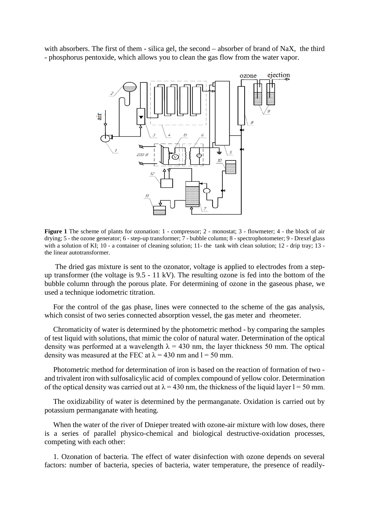with absorbers. The first of them - silica gel, the second – absorber of brand of NaX, the third - phosphorus pentoxide, which allows you to clean the gas flow from the water vapor.



**Figure 1** The scheme of plants for ozonation: 1 - compressor; 2 - monostat; 3 - flowmeter; 4 - the block of air drying; 5 - the ozone generator; 6 - step-up transformer; 7 - bubble column; 8 - spectrophotometer; 9 - Drexel glass with a solution of KI; 10 - a container of cleaning solution; 11- the tank with clean solution; 12 - drip tray; 13 the linear autotransformer.

The dried gas mixture is sent to the ozonator, voltage is applied to electrodes from a stepup transformer (the voltage is 9.5 - 11 kV). The resulting ozone is fed into the bottom of the bubble column through the porous plate. For determining of ozone in the gaseous phase, we used a technique iodometric titration.

For the control of the gas phase, lines were connected to the scheme of the gas analysis, which consist of two series connected absorption vessel, the gas meter and rheometer.

Chromaticity of water is determined by the photometric method - by comparing the samples of test liquid with solutions, that mimic the color of natural water. Determination of the optical density was performed at a wavelength  $\lambda = 430$  nm, the layer thickness 50 mm. The optical density was measured at the FEC at  $\lambda$  = 430 nm and 1 = 50 mm.

Photometric method for determination of iron is based on the reaction of formation of two and trivalent iron with sulfosalicylic acid of complex compound of yellow color. Determination of the optical density was carried out at  $\lambda = 430$  nm, the thickness of the liquid layer  $l = 50$  mm.

The oxidizability of water is determined by the permanganate. Oxidation is carried out by potassium permanganate with heating.

When the water of the river of Dnieper treated with ozone-air mixture with low doses, there is a series of parallel physico-chemical and biological destructive-oxidation processes, competing with each other:

1. Ozonation of bacteria. The effect of water disinfection with ozone depends on several factors: number of bacteria, species of bacteria, water temperature, the presence of readily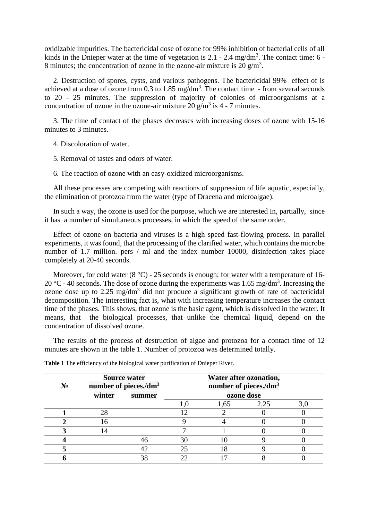oxidizable impurities. The bactericidal dose of ozone for 99% inhibition of bacterial cells of all kinds in the Dnieper water at the time of vegetation is  $2.1 - 2.4$  mg/dm<sup>3</sup>. The contact time: 6 -8 minutes; the concentration of ozone in the ozone-air mixture is 20  $\frac{g}{m^3}$ .

2. Destruction of spores, cysts, and various pathogens. The bactericidal 99% effect of is achieved at a dose of ozone from 0.3 to 1.85 mg/dm<sup>3</sup>. The contact time - from several seconds to 20 - 25 minutes. The suppression of majority of colonies of microorganisms at a concentration of ozone in the ozone-air mixture 20  $\text{g/m}^3$  is 4 - 7 minutes.

3. The time of contact of the phases decreases with increasing doses of ozone with 15-16 minutes to 3 minutes.

4. Discoloration of water.

5. Removal of tastes and odors of water.

6. The reaction of ozone with an easy-oxidized microorganisms.

All these processes are competing with reactions of suppression of life aquatic, especially, the elimination of protozoa from the water (type of Dracena and microalgae).

In such a way, the ozone is used for the purpose, which we are interested In, partially, since it has a number of simultaneous processes, in which the speed of the same order.

Effect of ozone on bacteria and viruses is a high speed fast-flowing process. In parallel experiments, it was found, that the processing of the clarified water, which contains the microbe number of 1.7 million. pers / ml and the index number 10000, disinfection takes place completely at 20-40 seconds.

Moreover, for cold water  $(8 \degree C)$  - 25 seconds is enough; for water with a temperature of 16-20 °C - 40 seconds. The dose of ozone during the experiments was 1.65 mg/dm<sup>3</sup>. Increasing the ozone dose up to  $2.25 \text{ mg/dm}^3$  did not produce a significant growth of rate of bactericidal decomposition. The interesting fact is, what with increasing temperature increases the contact time of the phases. This shows, that ozone is the basic agent, which is dissolved in the water. It means, that the biological processes, that unlike the chemical liquid, depend on the concentration of dissolved ozone.

The results of the process of destruction of algae and protozoa for a contact time of 12 minutes are shown in the table 1. Number of protozoa was determined totally.

| $N_2$ | <b>Source water</b><br>number of pieces./dm <sup>3</sup> |        | Water after ozonation,<br>number of pieces./dm <sup>3</sup> |                |      |     |
|-------|----------------------------------------------------------|--------|-------------------------------------------------------------|----------------|------|-----|
|       | winter                                                   | summer | ozone dose                                                  |                |      |     |
|       |                                                          |        |                                                             | 1,65           | 2,25 | 3,0 |
|       | 28                                                       |        |                                                             |                |      |     |
|       | 6                                                        |        |                                                             |                |      |     |
|       | 4                                                        |        |                                                             |                |      |     |
|       |                                                          | 46     | 30                                                          |                |      |     |
|       |                                                          | 42     | 25                                                          | $\overline{8}$ |      |     |
|       |                                                          | 38     |                                                             |                |      |     |

**Table 1** The efficiency of the biological water purification of Dnieper River.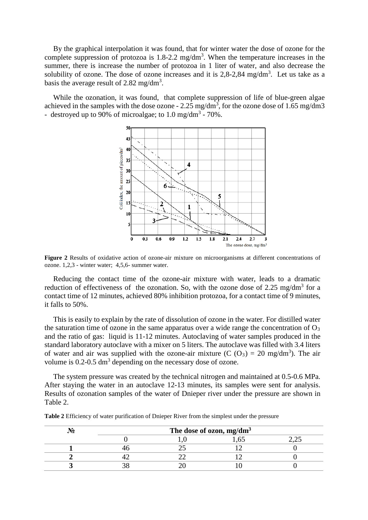By the graphical interpolation it was found, that for winter water the dose of ozone for the complete suppression of protozoa is  $1.8$ -2.2 mg/dm<sup>3</sup>. When the temperature increases in the summer, there is increase the number of protozoa in 1 liter of water, and also decrease the solubility of ozone. The dose of ozone increases and it is  $2,8-2,84$  mg/dm<sup>3</sup>. Let us take as a basis the average result of 2.82 mg/dm<sup>3</sup>.

While the ozonation, it was found, that complete suppression of life of blue-green algae achieved in the samples with the dose ozone -  $2.25 \text{ mg/dm}^3$ , for the ozone dose of 1.65 mg/dm3 - destroyed up to 90% of microalgae; to  $1.0 \text{ mg/dm}^3$  - 70%.



**Figure 2** Results of oxidative action of ozone-air mixture on microorganisms at different concentrations of ozone. 1,2,3 - winter water; 4,5,6- summer water.

Reducing the contact time of the ozone-air mixture with water, leads to a dramatic reduction of effectiveness of the ozonation. So, with the ozone dose of 2.25 mg/dm<sup>3</sup> for a contact time of 12 minutes, achieved 80% inhibition protozoa, for a contact time of 9 minutes, it falls to 50%.

This is easily to explain by the rate of dissolution of ozone in the water. For distilled water the saturation time of ozone in the same apparatus over a wide range the concentration of  $O_3$ and the ratio of gas: liquid is 11-12 minutes. Autoclaving of water samples produced in the standard laboratory autoclave with a mixer on 5 liters. The autoclave was filled with 3.4 liters of water and air was supplied with the ozone-air mixture (C  $(O_3) = 20$  mg/dm<sup>3</sup>). The air volume is 0.2-0.5 dm<sup>3</sup> depending on the necessary dose of ozone.

The system pressure was created by the technical nitrogen and maintained at 0.5-0.6 MPa. After staying the water in an autoclave 12-13 minutes, its samples were sent for analysis. Results of ozonation samples of the water of Dnieper river under the pressure are shown in Table 2.

| $\cdot$ $\sim$ | The dose of ozon, mg/dm <sup>3</sup> |  |  |  |  |  |
|----------------|--------------------------------------|--|--|--|--|--|
|                |                                      |  |  |  |  |  |
|                |                                      |  |  |  |  |  |
|                |                                      |  |  |  |  |  |
|                |                                      |  |  |  |  |  |

**Table 2** Efficiency of water purification of Dnieper River from the simplest under the pressure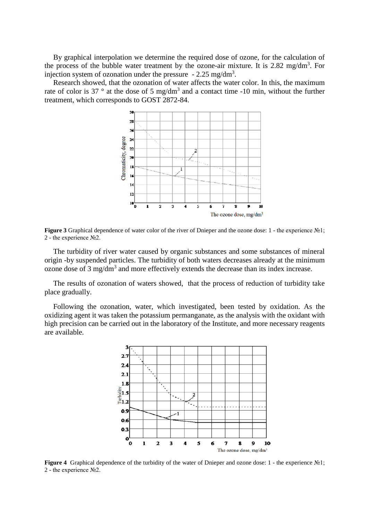By graphical interpolation we determine the required dose of ozone, for the calculation of the process of the bubble water treatment by the ozone-air mixture. It is 2.82 mg/dm<sup>3</sup>. For injection system of ozonation under the pressure  $-2.25 \text{ mg/dm}^3$ .

Research showed, that the ozonation of water affects the water color. In this, the maximum rate of color is 37  $\degree$  at the dose of 5 mg/dm<sup>3</sup> and a contact time -10 min, without the further treatment, which corresponds to GOST 2872-84.



**Figure 3** Graphical dependence of water color of the river of Dnieper and the ozone dose: 1 - the experience №1; 2 - the experience №2.

The turbidity of river water caused by organic substances and some substances of mineral origin -by suspended particles. The turbidity of both waters decreases already at the minimum ozone dose of 3 mg/dm<sup>3</sup> and more effectively extends the decrease than its index increase.

The results of ozonation of waters showed, that the process of reduction of turbidity take place gradually.

Following the ozonation, water, which investigated, been tested by oxidation. As the oxidizing agent it was taken the potassium permanganate, as the analysis with the oxidant with high precision can be carried out in the laboratory of the Institute, and more necessary reagents are available.



**Figure 4** Graphical dependence of the turbidity of the water of Dnieper and ozone dose: 1 - the experience №1; 2 - the experience №2.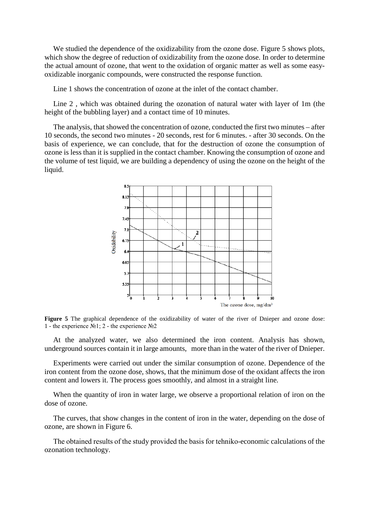We studied the dependence of the oxidizability from the ozone dose. Figure 5 shows plots, which show the degree of reduction of oxidizability from the ozone dose. In order to determine the actual amount of ozone, that went to the oxidation of organic matter as well as some easyoxidizable inorganic compounds, were constructed the response function.

Line 1 shows the concentration of ozone at the inlet of the contact chamber.

Line 2 , which was obtained during the ozonation of natural water with layer of 1m (the height of the bubbling layer) and a contact time of 10 minutes.

The analysis, that showed the concentration of ozone, conducted the first two minutes – after 10 seconds, the second two minutes - 20 seconds, rest for 6 minutes. - after 30 seconds. On the basis of experience, we can conclude, that for the destruction of ozone the consumption of ozone is less than it is supplied in the contact chamber. Knowing the consumption of ozone and the volume of test liquid, we are building a dependency of using the ozone on the height of the liquid.



**Figure 5** The graphical dependence of the oxidizability of water of the river of Dnieper and ozone dose: 1 - the experience №1; 2 - the experience №2

At the analyzed water, we also determined the iron content. Analysis has shown, underground sources contain it in large amounts, more than in the water of the river of Dnieper.

Experiments were carried out under the similar consumption of ozone. Dependence of the iron content from the ozone dose, shows, that the minimum dose of the oxidant affects the iron content and lowers it. The process goes smoothly, and almost in a straight line.

When the quantity of iron in water large, we observe a proportional relation of iron on the dose of ozone.

The curves, that show changes in the content of iron in the water, depending on the dose of ozone, are shown in Figure 6.

The obtained results of the study provided the basis for tehnіko-economic calculations of the ozonation technology.